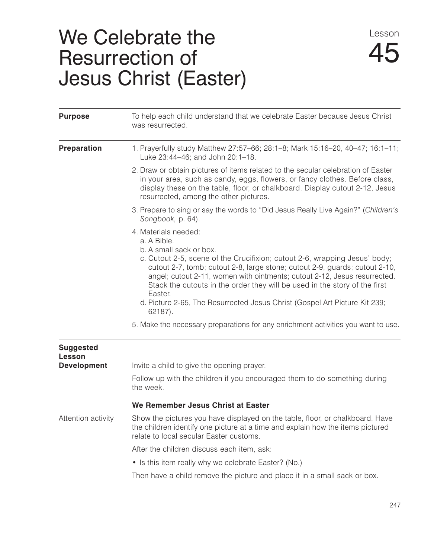## We Celebrate the Resurrection of Jesus Christ (Easter)

| <b>Purpose</b>             | To help each child understand that we celebrate Easter because Jesus Christ<br>was resurrected.                                                                                                                                                                                                                                                                                                                                                                                               |
|----------------------------|-----------------------------------------------------------------------------------------------------------------------------------------------------------------------------------------------------------------------------------------------------------------------------------------------------------------------------------------------------------------------------------------------------------------------------------------------------------------------------------------------|
| <b>Preparation</b>         | 1. Prayerfully study Matthew 27:57-66; 28:1-8; Mark 15:16-20, 40-47; 16:1-11;<br>Luke 23:44-46; and John 20:1-18.                                                                                                                                                                                                                                                                                                                                                                             |
|                            | 2. Draw or obtain pictures of items related to the secular celebration of Easter<br>in your area, such as candy, eggs, flowers, or fancy clothes. Before class,<br>display these on the table, floor, or chalkboard. Display cutout 2-12, Jesus<br>resurrected, among the other pictures.                                                                                                                                                                                                     |
|                            | 3. Prepare to sing or say the words to "Did Jesus Really Live Again?" (Children's<br>Songbook, p. 64).                                                                                                                                                                                                                                                                                                                                                                                        |
|                            | 4. Materials needed:<br>a. A Bible.<br>b. A small sack or box.<br>c. Cutout 2-5, scene of the Crucifixion; cutout 2-6, wrapping Jesus' body;<br>cutout 2-7, tomb; cutout 2-8, large stone; cutout 2-9, guards; cutout 2-10,<br>angel; cutout 2-11, women with ointments; cutout 2-12, Jesus resurrected.<br>Stack the cutouts in the order they will be used in the story of the first<br>Easter.<br>d. Picture 2-65, The Resurrected Jesus Christ (Gospel Art Picture Kit 239;<br>$62187$ ). |
|                            | 5. Make the necessary preparations for any enrichment activities you want to use.                                                                                                                                                                                                                                                                                                                                                                                                             |
| <b>Suggested</b><br>Lesson |                                                                                                                                                                                                                                                                                                                                                                                                                                                                                               |
| <b>Development</b>         | Invite a child to give the opening prayer.                                                                                                                                                                                                                                                                                                                                                                                                                                                    |
|                            | Follow up with the children if you encouraged them to do something during<br>the week.                                                                                                                                                                                                                                                                                                                                                                                                        |
|                            | We Remember Jesus Christ at Easter                                                                                                                                                                                                                                                                                                                                                                                                                                                            |
| Attention activity         | Show the pictures you have displayed on the table, floor, or chalkboard. Have<br>the children identify one picture at a time and explain how the items pictured<br>relate to local secular Easter customs.                                                                                                                                                                                                                                                                                    |
|                            | After the children discuss each item, ask:                                                                                                                                                                                                                                                                                                                                                                                                                                                    |
|                            | • Is this item really why we celebrate Easter? (No.)                                                                                                                                                                                                                                                                                                                                                                                                                                          |
|                            | Then have a child remove the picture and place it in a small sack or box.                                                                                                                                                                                                                                                                                                                                                                                                                     |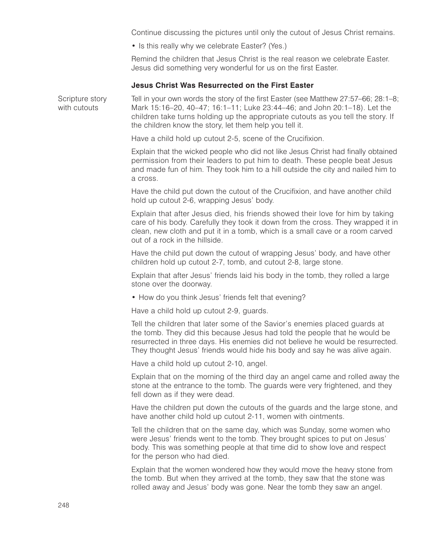Continue discussing the pictures until only the cutout of Jesus Christ remains.

• Is this really why we celebrate Easter? (Yes.)

Remind the children that Jesus Christ is the real reason we celebrate Easter. Jesus did something very wonderful for us on the first Easter.

## **Jesus Christ Was Resurrected on the First Easter**

Scripture story Tell in your own words the story of the first Easter (see Matthew 27:57–66; 28:1–8; with cutouts Mark 15:16–20, 40–47; 16:1–11; Luke 23:44–46; and John 20:1–18). Let the children take turns holding up the appropriate cutouts as you tell the story. If the children know the story, let them help you tell it.

Have a child hold up cutout 2-5, scene of the Crucifixion.

Explain that the wicked people who did not like Jesus Christ had finally obtained permission from their leaders to put him to death. These people beat Jesus and made fun of him. They took him to a hill outside the city and nailed him to a cross.

Have the child put down the cutout of the Crucifixion, and have another child hold up cutout 2-6, wrapping Jesus' body.

Explain that after Jesus died, his friends showed their love for him by taking care of his body. Carefully they took it down from the cross. They wrapped it in clean, new cloth and put it in a tomb, which is a small cave or a room carved out of a rock in the hillside.

Have the child put down the cutout of wrapping Jesus' body, and have other children hold up cutout 2-7, tomb, and cutout 2-8, large stone.

Explain that after Jesus' friends laid his body in the tomb, they rolled a large stone over the doorway.

• How do you think Jesus' friends felt that evening?

Have a child hold up cutout 2-9, guards.

Tell the children that later some of the Savior's enemies placed guards at the tomb. They did this because Jesus had told the people that he would be resurrected in three days. His enemies did not believe he would be resurrected. They thought Jesus' friends would hide his body and say he was alive again.

Have a child hold up cutout 2-10, angel.

Explain that on the morning of the third day an angel came and rolled away the stone at the entrance to the tomb. The guards were very frightened, and they fell down as if they were dead.

Have the children put down the cutouts of the guards and the large stone, and have another child hold up cutout 2-11, women with ointments.

Tell the children that on the same day, which was Sunday, some women who were Jesus' friends went to the tomb. They brought spices to put on Jesus' body. This was something people at that time did to show love and respect for the person who had died.

Explain that the women wondered how they would move the heavy stone from the tomb. But when they arrived at the tomb, they saw that the stone was rolled away and Jesus' body was gone. Near the tomb they saw an angel.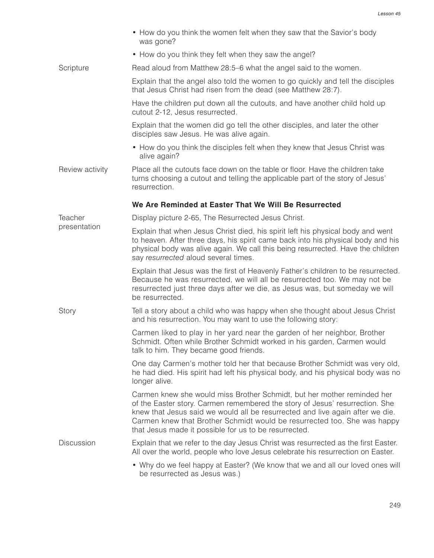|                 | • How do you think the women felt when they saw that the Savior's body<br>was gone?                                                                                                                                                                                                                                                                                           |
|-----------------|-------------------------------------------------------------------------------------------------------------------------------------------------------------------------------------------------------------------------------------------------------------------------------------------------------------------------------------------------------------------------------|
|                 | • How do you think they felt when they saw the angel?                                                                                                                                                                                                                                                                                                                         |
| Scripture       | Read aloud from Matthew 28:5–6 what the angel said to the women.                                                                                                                                                                                                                                                                                                              |
|                 | Explain that the angel also told the women to go quickly and tell the disciples<br>that Jesus Christ had risen from the dead (see Matthew 28:7).                                                                                                                                                                                                                              |
|                 | Have the children put down all the cutouts, and have another child hold up<br>cutout 2-12, Jesus resurrected.                                                                                                                                                                                                                                                                 |
|                 | Explain that the women did go tell the other disciples, and later the other<br>disciples saw Jesus. He was alive again.                                                                                                                                                                                                                                                       |
|                 | • How do you think the disciples felt when they knew that Jesus Christ was<br>alive again?                                                                                                                                                                                                                                                                                    |
| Review activity | Place all the cutouts face down on the table or floor. Have the children take<br>turns choosing a cutout and telling the applicable part of the story of Jesus'<br>resurrection.                                                                                                                                                                                              |
|                 | We Are Reminded at Easter That We Will Be Resurrected                                                                                                                                                                                                                                                                                                                         |
| Teacher         | Display picture 2-65, The Resurrected Jesus Christ.                                                                                                                                                                                                                                                                                                                           |
| presentation    | Explain that when Jesus Christ died, his spirit left his physical body and went<br>to heaven. After three days, his spirit came back into his physical body and his<br>physical body was alive again. We call this being resurrected. Have the children<br>say resurrected aloud several times.                                                                               |
|                 | Explain that Jesus was the first of Heavenly Father's children to be resurrected.<br>Because he was resurrected, we will all be resurrected too. We may not be<br>resurrected just three days after we die, as Jesus was, but someday we will<br>be resurrected.                                                                                                              |
| Story           | Tell a story about a child who was happy when she thought about Jesus Christ<br>and his resurrection. You may want to use the following story:                                                                                                                                                                                                                                |
|                 | Carmen liked to play in her yard near the garden of her neighbor, Brother<br>Schmidt. Often while Brother Schmidt worked in his garden, Carmen would<br>talk to him. They became good friends.                                                                                                                                                                                |
|                 | One day Carmen's mother told her that because Brother Schmidt was very old,<br>he had died. His spirit had left his physical body, and his physical body was no<br>longer alive.                                                                                                                                                                                              |
|                 | Carmen knew she would miss Brother Schmidt, but her mother reminded her<br>of the Easter story. Carmen remembered the story of Jesus' resurrection. She<br>knew that Jesus said we would all be resurrected and live again after we die.<br>Carmen knew that Brother Schmidt would be resurrected too. She was happy<br>that Jesus made it possible for us to be resurrected. |
| Discussion      | Explain that we refer to the day Jesus Christ was resurrected as the first Easter.<br>All over the world, people who love Jesus celebrate his resurrection on Easter.                                                                                                                                                                                                         |
|                 | • Why do we feel happy at Easter? (We know that we and all our loved ones will<br>be resurrected as Jesus was.)                                                                                                                                                                                                                                                               |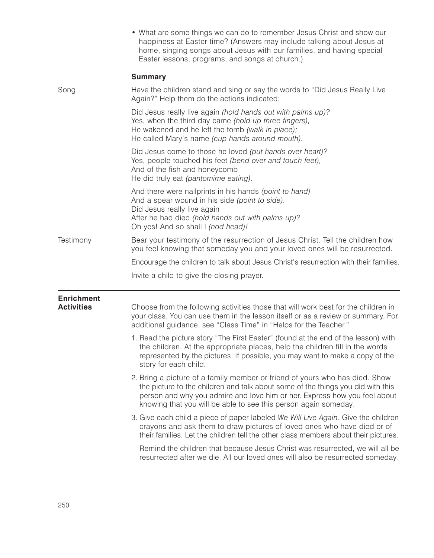|                                        | • What are some things we can do to remember Jesus Christ and show our<br>happiness at Easter time? (Answers may include talking about Jesus at<br>home, singing songs about Jesus with our families, and having special<br>Easter lessons, programs, and songs at church.)                                    |
|----------------------------------------|----------------------------------------------------------------------------------------------------------------------------------------------------------------------------------------------------------------------------------------------------------------------------------------------------------------|
|                                        | <b>Summary</b>                                                                                                                                                                                                                                                                                                 |
| Song                                   | Have the children stand and sing or say the words to "Did Jesus Really Live<br>Again?" Help them do the actions indicated:                                                                                                                                                                                     |
|                                        | Did Jesus really live again (hold hands out with palms up)?<br>Yes, when the third day came (hold up three fingers),<br>He wakened and he left the tomb (walk in place);<br>He called Mary's name (cup hands around mouth).                                                                                    |
|                                        | Did Jesus come to those he loved (put hands over heart)?<br>Yes, people touched his feet (bend over and touch feet),<br>And of the fish and honeycomb<br>He did truly eat (pantomime eating).                                                                                                                  |
|                                        | And there were nailprints in his hands (point to hand)<br>And a spear wound in his side (point to side).<br>Did Jesus really live again<br>After he had died (hold hands out with palms up)?<br>Oh yes! And so shall I (nod head)!                                                                             |
| Testimony                              | Bear your testimony of the resurrection of Jesus Christ. Tell the children how<br>you feel knowing that someday you and your loved ones will be resurrected.                                                                                                                                                   |
|                                        | Encourage the children to talk about Jesus Christ's resurrection with their families.                                                                                                                                                                                                                          |
|                                        | Invite a child to give the closing prayer.                                                                                                                                                                                                                                                                     |
| <b>Enrichment</b><br><b>Activities</b> | Choose from the following activities those that will work best for the children in<br>your class. You can use them in the lesson itself or as a review or summary. For<br>additional guidance, see "Class Time" in "Helps for the Teacher."                                                                    |
|                                        | 1. Read the picture story "The First Easter" (found at the end of the lesson) with<br>the children. At the appropriate places, help the children fill in the words<br>represented by the pictures. If possible, you may want to make a copy of the<br>story for each child.                                    |
|                                        | 2. Bring a picture of a family member or friend of yours who has died. Show<br>the picture to the children and talk about some of the things you did with this<br>person and why you admire and love him or her. Express how you feel about<br>knowing that you will be able to see this person again someday. |
|                                        | 3. Give each child a piece of paper labeled We Will Live Again. Give the children<br>crayons and ask them to draw pictures of loved ones who have died or of<br>their families. Let the children tell the other class members about their pictures.                                                            |
|                                        | Remind the children that because Jesus Christ was resurrected, we will all be<br>resurrected after we die. All our loved ones will also be resurrected someday.                                                                                                                                                |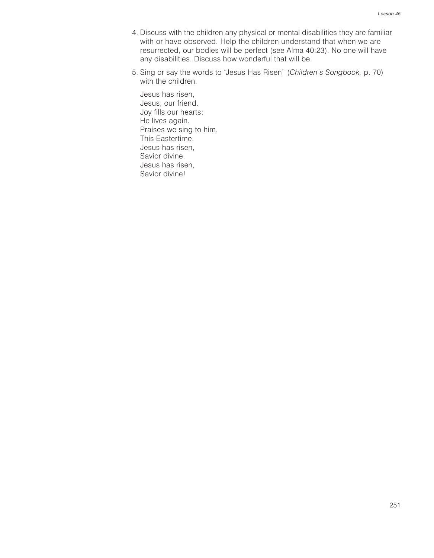- 4. Discuss with the children any physical or mental disabilities they are familiar with or have observed. Help the children understand that when we are resurrected, our bodies will be perfect (see Alma 40:23). No one will have any disabilities. Discuss how wonderful that will be.
- 5. Sing or say the words to "Jesus Has Risen" (*Children's Songbook,* p. 70) with the children.

Jesus has risen, Jesus, our friend. Joy fills our hearts; He lives again. Praises we sing to him, This Eastertime. Jesus has risen, Savior divine. Jesus has risen, Savior divine!